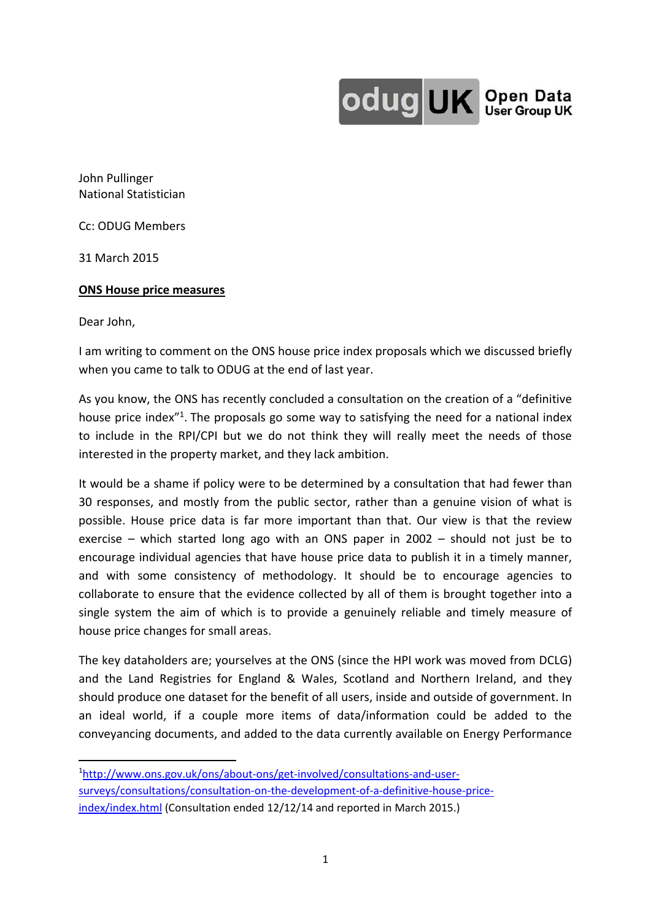

John Pullinger National Statistician

Cc: ODUG Members

31 March 2015

## **ONS House price measures**

Dear John,

I am writing to comment on the ONS house price index proposals which we discussed briefly when you came to talk to ODUG at the end of last year.

As you know, the ONS has recently concluded a consultation on the creation of a "definitive house price index<sup>"1</sup>. The proposals go some way to satisfying the need for a national index to include in the RPI/CPI but we do not think they will really meet the needs of those interested in the property market, and they lack ambition.

It would be a shame if policy were to be determined by a consultation that had fewer than 30 responses, and mostly from the public sector, rather than a genuine vision of what is possible. House price data is far more important than that. Our view is that the review exercise – which started long ago with an ONS paper in 2002 – should not just be to encourage individual agencies that have house price data to publish it in a timely manner, and with some consistency of methodology. It should be to encourage agencies to collaborate to ensure that the evidence collected by all of them is brought together into a single system the aim of which is to provide a genuinely reliable and timely measure of house price changes for small areas.

The key dataholders are; yourselves at the ONS (since the HPI work was moved from DCLG) and the Land Registries for England & Wales, Scotland and Northern Ireland, and they should produce one dataset for the benefit of all users, inside and outside of government. In an ideal world, if a couple more items of data/information could be added to the conveyancing documents, and added to the data currently available on Energy Performance

<sup>1</sup>http://www.ons.gov.uk/ons/about-ons/get-involved/consultations-and-usersurveys/consultations/consultation-on-the-development-of-a-definitive-house-priceindex/index.html (Consultation ended 12/12/14 and reported in March 2015.)